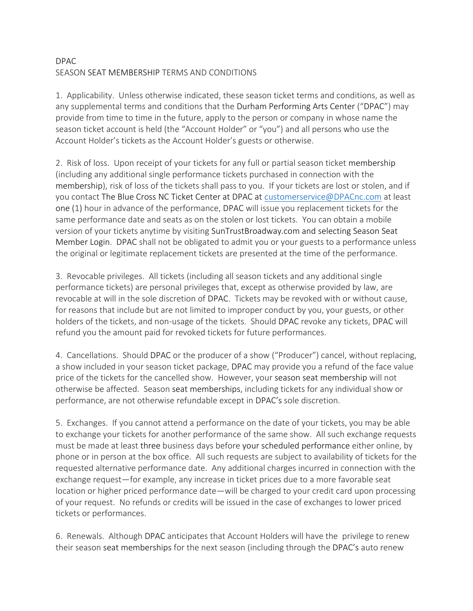## DPAC SEASON SEAT MEMBERSHIP TERMS AND CONDITIONS

1. Applicability. Unless otherwise indicated, these season ticket terms and conditions, as well as any supplemental terms and conditions that the Durham Performing Arts Center ("DPAC") may provide from time to time in the future, apply to the person or company in whose name the season ticket account is held (the "Account Holder" or "you") and all persons who use the Account Holder's tickets as the Account Holder's guests or otherwise.

2. Risk of loss. Upon receipt of your tickets for any full or partial season ticket membership (including any additional single performance tickets purchased in connection with the membership), risk of loss of the tickets shall pass to you. If your tickets are lost or stolen, and if you contact The Blue Cross NC Ticket Center at DPAC at [customerservice@DPACnc.com](mailto:customerservice@DPACnc.com) at least one (1) hour in advance of the performance, DPAC will issue you replacement tickets for the same performance date and seats as on the stolen or lost tickets. You can obtain a mobile version of your tickets anytime by visiting SunTrustBroadway.com and selecting Season Seat Member Login. DPAC shall not be obligated to admit you or your guests to a performance unless the original or legitimate replacement tickets are presented at the time of the performance.

3. Revocable privileges. All tickets (including all season tickets and any additional single performance tickets) are personal privileges that, except as otherwise provided by law, are revocable at will in the sole discretion of DPAC. Tickets may be revoked with or without cause, for reasons that include but are not limited to improper conduct by you, your guests, or other holders of the tickets, and non-usage of the tickets. Should DPAC revoke any tickets, DPAC will refund you the amount paid for revoked tickets for future performances.

4. Cancellations. Should DPAC or the producer of a show ("Producer") cancel, without replacing, a show included in your season ticket package, DPAC may provide you a refund of the face value price of the tickets for the cancelled show. However, your season seat membership will not otherwise be affected. Season seat memberships, including tickets for any individual show or performance, are not otherwise refundable except in DPAC's sole discretion.

5. Exchanges. If you cannot attend a performance on the date of your tickets, you may be able to exchange your tickets for another performance of the same show. All such exchange requests must be made at least three business days before your scheduled performance either online, by phone or in person at the box office. All such requests are subject to availability of tickets for the requested alternative performance date. Any additional charges incurred in connection with the exchange request—for example, any increase in ticket prices due to a more favorable seat location or higher priced performance date—will be charged to your credit card upon processing of your request. No refunds or credits will be issued in the case of exchanges to lower priced tickets or performances.

6. Renewals. Although DPAC anticipates that Account Holders will have the privilege to renew their season seat memberships for the next season (including through the DPAC's auto renew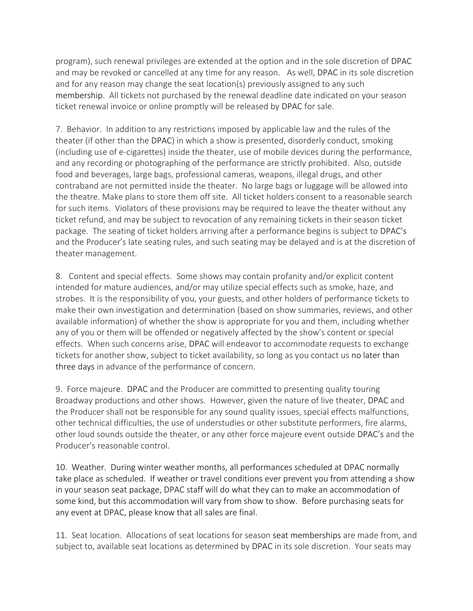program), such renewal privileges are extended at the option and in the sole discretion of DPAC and may be revoked or cancelled at any time for any reason. As well, DPAC in its sole discretion and for any reason may change the seat location(s) previously assigned to any such membership. All tickets not purchased by the renewal deadline date indicated on your season ticket renewal invoice or online promptly will be released by DPAC for sale.

7. Behavior. In addition to any restrictions imposed by applicable law and the rules of the theater (if other than the DPAC) in which a show is presented, disorderly conduct, smoking (including use of e-cigarettes) inside the theater, use of mobile devices during the performance, and any recording or photographing of the performance are strictly prohibited. Also, outside food and beverages, large bags, professional cameras, weapons, illegal drugs, and other contraband are not permitted inside the theater. No large bags or luggage will be allowed into the theatre. Make plans to store them off site. All ticket holders consent to a reasonable search for such items. Violators of these provisions may be required to leave the theater without any ticket refund, and may be subject to revocation of any remaining tickets in their season ticket package. The seating of ticket holders arriving after a performance begins is subject to DPAC's and the Producer's late seating rules, and such seating may be delayed and is at the discretion of theater management.

8. Content and special effects. Some shows may contain profanity and/or explicit content intended for mature audiences, and/or may utilize special effects such as smoke, haze, and strobes. It is the responsibility of you, your guests, and other holders of performance tickets to make their own investigation and determination (based on show summaries, reviews, and other available information) of whether the show is appropriate for you and them, including whether any of you or them will be offended or negatively affected by the show's content or special effects. When such concerns arise, DPAC will endeavor to accommodate requests to exchange tickets for another show, subject to ticket availability, so long as you contact us no later than three days in advance of the performance of concern.

9. Force majeure. DPAC and the Producer are committed to presenting quality touring Broadway productions and other shows. However, given the nature of live theater, DPAC and the Producer shall not be responsible for any sound quality issues, special effects malfunctions, other technical difficulties, the use of understudies or other substitute performers, fire alarms, other loud sounds outside the theater, or any other force majeure event outside DPAC's and the Producer's reasonable control.

10. Weather. During winter weather months, all performances scheduled at DPAC normally take place as scheduled. If weather or travel conditions ever prevent you from attending a show in your season seat package, DPAC staff will do what they can to make an accommodation of some kind, but this accommodation will vary from show to show. Before purchasing seats for any event at DPAC, please know that all sales are final.

11. Seat location. Allocations of seat locations for season seat memberships are made from, and subject to, available seat locations as determined by DPAC in its sole discretion. Your seats may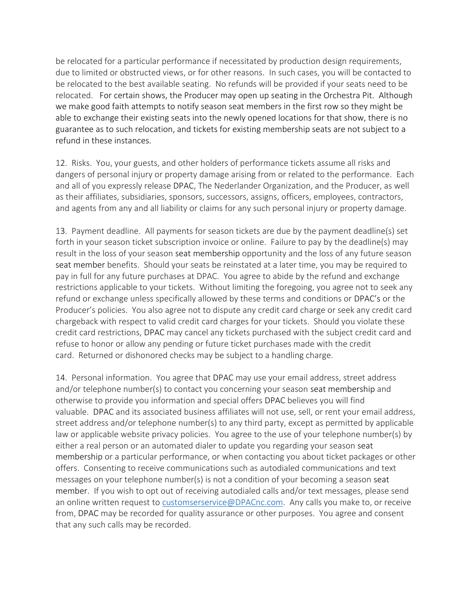be relocated for a particular performance if necessitated by production design requirements, due to limited or obstructed views, or for other reasons. In such cases, you will be contacted to be relocated to the best available seating. No refunds will be provided if your seats need to be relocated. For certain shows, the Producer may open up seating in the Orchestra Pit. Although we make good faith attempts to notify season seat members in the first row so they might be able to exchange their existing seats into the newly opened locations for that show, there is no guarantee as to such relocation, and tickets for existing membership seats are not subject to a refund in these instances.

12. Risks. You, your guests, and other holders of performance tickets assume all risks and dangers of personal injury or property damage arising from or related to the performance. Each and all of you expressly release DPAC, The Nederlander Organization, and the Producer, as well as their affiliates, subsidiaries, sponsors, successors, assigns, officers, employees, contractors, and agents from any and all liability or claims for any such personal injury or property damage.

13. Payment deadline. All payments for season tickets are due by the payment deadline(s) set forth in your season ticket subscription invoice or online. Failure to pay by the deadline(s) may result in the loss of your season seat membership opportunity and the loss of any future season seat member benefits. Should your seats be reinstated at a later time, you may be required to pay in full for any future purchases at DPAC. You agree to abide by the refund and exchange restrictions applicable to your tickets. Without limiting the foregoing, you agree not to seek any refund or exchange unless specifically allowed by these terms and conditions or DPAC's or the Producer's policies. You also agree not to dispute any credit card charge or seek any credit card chargeback with respect to valid credit card charges for your tickets. Should you violate these credit card restrictions, DPAC may cancel any tickets purchased with the subject credit card and refuse to honor or allow any pending or future ticket purchases made with the credit card. Returned or dishonored checks may be subject to a handling charge.

14. Personal information. You agree that DPAC may use your email address, street address and/or telephone number(s) to contact you concerning your season seat membership and otherwise to provide you information and special offers DPAC believes you will find valuable. DPAC and its associated business affiliates will not use, sell, or rent your email address, street address and/or telephone number(s) to any third party, except as permitted by applicable law or applicable website privacy policies. You agree to the use of your telephone number(s) by either a real person or an automated dialer to update you regarding your season seat membership or a particular performance, or when contacting you about ticket packages or other offers. Consenting to receive communications such as autodialed communications and text messages on your telephone number(s) is not a condition of your becoming a season seat member. If you wish to opt out of receiving autodialed calls and/or text messages, please send an online written request to [customserservice@DPACnc.com.](mailto:customserservice@DPACnc.com) Any calls you make to, or receive from, DPAC may be recorded for quality assurance or other purposes. You agree and consent that any such calls may be recorded.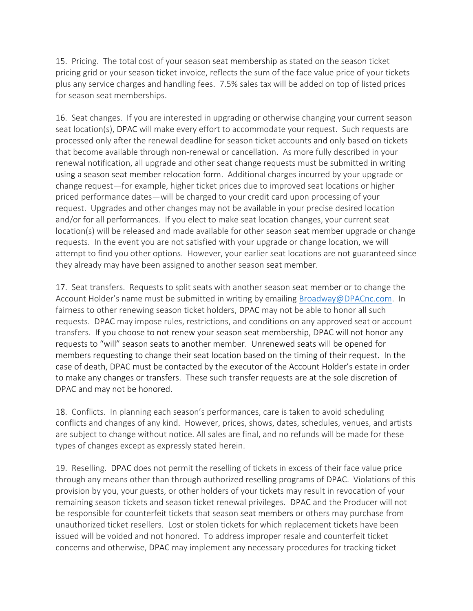15. Pricing. The total cost of your season seat membership as stated on the season ticket pricing grid or your season ticket invoice, reflects the sum of the face value price of your tickets plus any service charges and handling fees. 7.5% sales tax will be added on top of listed prices for season seat memberships.

16. Seat changes. If you are interested in upgrading or otherwise changing your current season seat location(s), DPAC will make every effort to accommodate your request. Such requests are processed only after the renewal deadline for season ticket accounts and only based on tickets that become available through non-renewal or cancellation. As more fully described in your renewal notification, all upgrade and other seat change requests must be submitted in writing using a season seat member relocation form. Additional charges incurred by your upgrade or change request—for example, higher ticket prices due to improved seat locations or higher priced performance dates—will be charged to your credit card upon processing of your request. Upgrades and other changes may not be available in your precise desired location and/or for all performances. If you elect to make seat location changes, your current seat location(s) will be released and made available for other season seat member upgrade or change requests. In the event you are not satisfied with your upgrade or change location, we will attempt to find you other options. However, your earlier seat locations are not guaranteed since they already may have been assigned to another season seat member.

17. Seat transfers. Requests to split seats with another season seat member or to change the Account Holder's name must be submitted in writing by emailing [Broadway@DPACnc.com.](mailto:Broadway@DPACnc.com) In fairness to other renewing season ticket holders, DPAC may not be able to honor all such requests. DPAC may impose rules, restrictions, and conditions on any approved seat or account transfers. If you choose to not renew your season seat membership, DPAC will not honor any requests to "will" season seats to another member. Unrenewed seats will be opened for members requesting to change their seat location based on the timing of their request. In the case of death, DPAC must be contacted by the executor of the Account Holder's estate in order to make any changes or transfers. These such transfer requests are at the sole discretion of DPAC and may not be honored.

18. Conflicts. In planning each season's performances, care is taken to avoid scheduling conflicts and changes of any kind. However, prices, shows, dates, schedules, venues, and artists are subject to change without notice. All sales are final, and no refunds will be made for these types of changes except as expressly stated herein.

19. Reselling. DPAC does not permit the reselling of tickets in excess of their face value price through any means other than through authorized reselling programs of DPAC. Violations of this provision by you, your guests, or other holders of your tickets may result in revocation of your remaining season tickets and season ticket renewal privileges. DPAC and the Producer will not be responsible for counterfeit tickets that season seat members or others may purchase from unauthorized ticket resellers. Lost or stolen tickets for which replacement tickets have been issued will be voided and not honored. To address improper resale and counterfeit ticket concerns and otherwise, DPAC may implement any necessary procedures for tracking ticket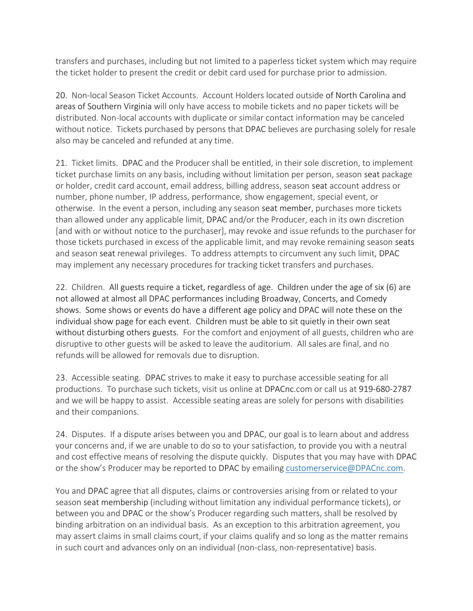transfers and purchases, including but not limited to a paperless ticket system which may require the ticket holder to present the credit or debit card used for purchase prior to admission.

20. Non-local Season Ticket Accounts. Account Holders located outside of North Carolina and areas of Southern Virginia will only have access to mobile tickets and no paper tickets will be distributed. Non-local accounts with duplicate or similar contact information may be canceled without notice. Tickets purchased by persons that DPAC believes are purchasing solely for resale also may be canceled and refunded at any time.

21. Ticket limits. DPAC and the Producer shall be entitled, in their sole discretion, to implement ticket purchase limits on any basis, including without limitation per person, season seat package or holder, credit card account, email address, billing address, season seat account address or number, phone number, IP address, performance, show engagement, special event, or otherwise. In the event a person, including any season seat member, purchases more tickets than allowed under any applicable limit, DPAC and/or the Producer, each in its own discretion [and with or without notice to the purchaser], may revoke and issue refunds to the purchaser for those tickets purchased in excess of the applicable limit, and may revoke remaining season seats and season seat renewal privileges. To address attempts to circumvent any such limit, DPAC may implement any necessary procedures for tracking ticket transfers and purchases.

22. Children. All guests require a ticket, regardless of age. Children under the age of six (6) are not allowed at almost all DPAC performances including Broadway, Concerts, and Comedy shows. Some shows or events do have a different age policy and DPAC will note these on the individual show page for each event. Children must be able to sit quietly in their own seat without disturbing others guests. For the comfort and enjoyment of all guests, children who are disruptive to other guests will be asked to leave the auditorium. All sales are final, and no refunds will be allowed for removals due to disruption.

23. Accessible seating. DPAC strives to make it easy to purchase accessible seating for all productions. To purchase such tickets, visit us online at DPACnc.com or call us at 919-680-2787 and we will be happy to assist. Accessible seating areas are solely for persons with disabilities and their companions.

24. Disputes. If a dispute arises between you and DPAC, our goal is to learn about and address your concerns and, if we are unable to do so to your satisfaction, to provide you with a neutral and cost effective means of resolving the dispute quickly. Disputes that you may have with DPAC or the show's Producer may be reported to DPAC by emailing [customerservice@DPACnc.com.](mailto:customerservice@DPACnc.com)

You and DPAC agree that all disputes, claims or controversies arising from or related to your season seat membership (including without limitation any individual performance tickets), or between you and DPAC or the show's Producer regarding such matters, shall be resolved by binding arbitration on an individual basis. As an exception to this arbitration agreement, you may assert claims in small claims court, if your claims qualify and so long as the matter remains in such court and advances only on an individual (non-class, non-representative) basis.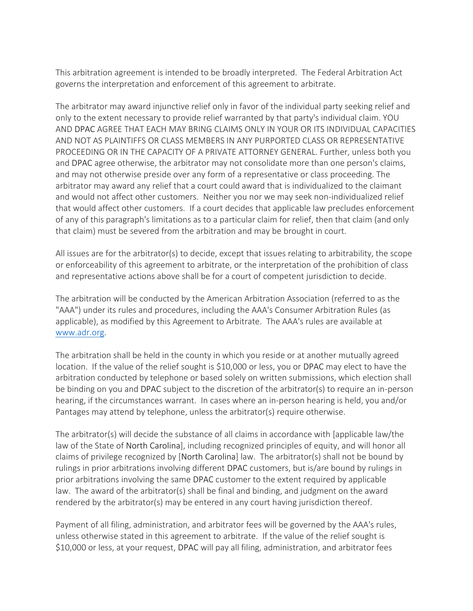This arbitration agreement is intended to be broadly interpreted. The Federal Arbitration Act governs the interpretation and enforcement of this agreement to arbitrate.

The arbitrator may award injunctive relief only in favor of the individual party seeking relief and only to the extent necessary to provide relief warranted by that party's individual claim. YOU AND DPAC AGREE THAT EACH MAY BRING CLAIMS ONLY IN YOUR OR ITS INDIVIDUAL CAPACITIES AND NOT AS PLAINTIFFS OR CLASS MEMBERS IN ANY PURPORTED CLASS OR REPRESENTATIVE PROCEEDING OR IN THE CAPACITY OF A PRIVATE ATTORNEY GENERAL. Further, unless both you and DPAC agree otherwise, the arbitrator may not consolidate more than one person's claims, and may not otherwise preside over any form of a representative or class proceeding. The arbitrator may award any relief that a court could award that is individualized to the claimant and would not affect other customers. Neither you nor we may seek non-individualized relief that would affect other customers. If a court decides that applicable law precludes enforcement of any of this paragraph's limitations as to a particular claim for relief, then that claim (and only that claim) must be severed from the arbitration and may be brought in court.

All issues are for the arbitrator(s) to decide, except that issues relating to arbitrability, the scope or enforceability of this agreement to arbitrate, or the interpretation of the prohibition of class and representative actions above shall be for a court of competent jurisdiction to decide.

The arbitration will be conducted by the American Arbitration Association (referred to as the "AAA") under its rules and procedures, including the AAA's Consumer Arbitration Rules (as applicable), as modified by this Agreement to Arbitrate. The AAA's rules are available at [www.adr.org.](http://www.adr.org/)

The arbitration shall be held in the county in which you reside or at another mutually agreed location. If the value of the relief sought is \$10,000 or less, you or DPAC may elect to have the arbitration conducted by telephone or based solely on written submissions, which election shall be binding on you and DPAC subject to the discretion of the arbitrator(s) to require an in-person hearing, if the circumstances warrant. In cases where an in-person hearing is held, you and/or Pantages may attend by telephone, unless the arbitrator(s) require otherwise.

The arbitrator(s) will decide the substance of all claims in accordance with [applicable law/the law of the State of North Carolina], including recognized principles of equity, and will honor all claims of privilege recognized by [North Carolina] law. The arbitrator(s) shall not be bound by rulings in prior arbitrations involving different DPAC customers, but is/are bound by rulings in prior arbitrations involving the same DPAC customer to the extent required by applicable law. The award of the arbitrator(s) shall be final and binding, and judgment on the award rendered by the arbitrator(s) may be entered in any court having jurisdiction thereof.

Payment of all filing, administration, and arbitrator fees will be governed by the AAA's rules, unless otherwise stated in this agreement to arbitrate. If the value of the relief sought is \$10,000 or less, at your request, DPAC will pay all filing, administration, and arbitrator fees